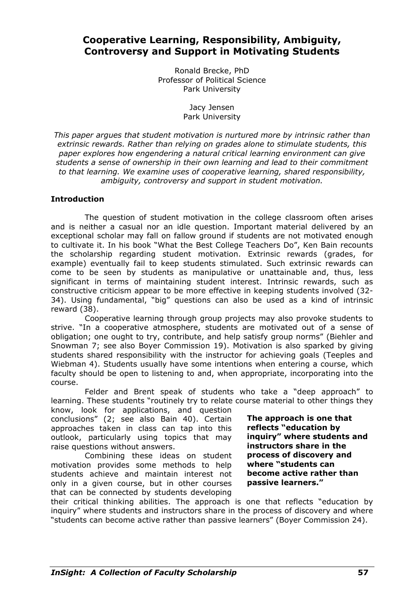# **Cooperative Learning, Responsibility, Ambiguity, Controversy and Support in Motivating Students**

Ronald Brecke, PhD Professor of Political Science Park University

> Jacy Jensen Park University

*This paper argues that student motivation is nurtured more by intrinsic rather than extrinsic rewards. Rather than relying on grades alone to stimulate students, this paper explores how engendering a natural critical learning environment can give students a sense of ownership in their own learning and lead to their commitment to that learning. We examine uses of cooperative learning, shared responsibility, ambiguity, controversy and support in student motivation.* 

## **Introduction**

The question of student motivation in the college classroom often arises and is neither a casual nor an idle question. Important material delivered by an exceptional scholar may fall on fallow ground if students are not motivated enough to cultivate it. In his book "What the Best College Teachers Do", Ken Bain recounts the scholarship regarding student motivation. Extrinsic rewards (grades, for example) eventually fail to keep students stimulated. Such extrinsic rewards can come to be seen by students as manipulative or unattainable and, thus, less significant in terms of maintaining student interest. Intrinsic rewards, such as constructive criticism appear to be more effective in keeping students involved (32- 34). Using fundamental, "big" questions can also be used as a kind of intrinsic reward (38).

 Cooperative learning through group projects may also provoke students to strive. "In a cooperative atmosphere, students are motivated out of a sense of obligation; one ought to try, contribute, and help satisfy group norms" (Biehler and Snowman 7; see also Boyer Commission 19). Motivation is also sparked by giving students shared responsibility with the instructor for achieving goals (Teeples and Wiebman 4). Students usually have some intentions when entering a course, which faculty should be open to listening to and, when appropriate, incorporating into the course.

Felder and Brent speak of students who take a "deep approach" to learning. These students "routinely try to relate course material to other things they

know, look for applications, and question conclusions" (2; see also Bain 40). Certain approaches taken in class can tap into this outlook, particularly using topics that may raise questions without answers.

 Combining these ideas on student motivation provides some methods to help students achieve and maintain interest not only in a given course, but in other courses that can be connected by students developing

**The approach is one that reflects "education by inquiry" where students and instructors share in the process of discovery and where "students can become active rather than passive learners."**

their critical thinking abilities. The approach is one that reflects "education by inquiry" where students and instructors share in the process of discovery and where "students can become active rather than passive learners" (Boyer Commission 24).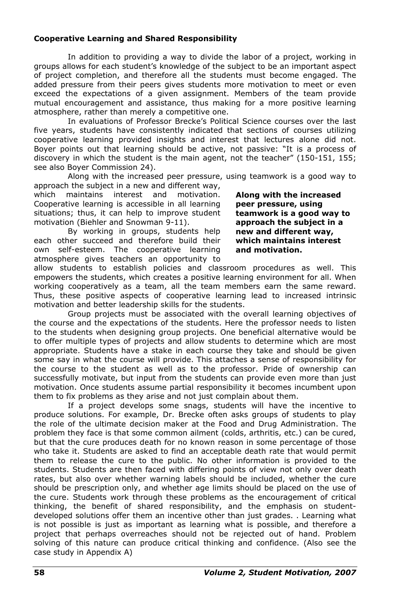### **Cooperative Learning and Shared Responsibility**

In addition to providing a way to divide the labor of a project, working in groups allows for each student's knowledge of the subject to be an important aspect of project completion, and therefore all the students must become engaged. The added pressure from their peers gives students more motivation to meet or even exceed the expectations of a given assignment. Members of the team provide mutual encouragement and assistance, thus making for a more positive learning atmosphere, rather than merely a competitive one.

In evaluations of Professor Brecke's Political Science courses over the last five years, students have consistently indicated that sections of courses utilizing cooperative learning provided insights and interest that lectures alone did not. Boyer points out that learning should be active, not passive: "It is a process of discovery in which the student is the main agent, not the teacher" (150-151, 155; see also Boyer Commission 24).

Along with the increased peer pressure, using teamwork is a good way to approach the subject in a new and different way,

which maintains interest and motivation. Cooperative learning is accessible in all learning situations; thus, it can help to improve student motivation (Biehler and Snowman 9-11).

 By working in groups, students help each other succeed and therefore build their own self-esteem. The cooperative learning atmosphere gives teachers an opportunity to **Along with the increased peer pressure, using teamwork is a good way to approach the subject in a new and different way, which maintains interest and motivation.**

allow students to establish policies and classroom procedures as well. This empowers the students, which creates a positive learning environment for all. When working cooperatively as a team, all the team members earn the same reward. Thus, these positive aspects of cooperative learning lead to increased intrinsic motivation and better leadership skills for the students.

 Group projects must be associated with the overall learning objectives of the course and the expectations of the students. Here the professor needs to listen to the students when designing group projects. One beneficial alternative would be to offer multiple types of projects and allow students to determine which are most appropriate. Students have a stake in each course they take and should be given some say in what the course will provide. This attaches a sense of responsibility for the course to the student as well as to the professor. Pride of ownership can successfully motivate, but input from the students can provide even more than just motivation. Once students assume partial responsibility it becomes incumbent upon them to fix problems as they arise and not just complain about them.

If a project develops some snags, students will have the incentive to produce solutions. For example, Dr. Brecke often asks groups of students to play the role of the ultimate decision maker at the Food and Drug Administration. The problem they face is that some common ailment (colds, arthritis, etc.) can be cured, but that the cure produces death for no known reason in some percentage of those who take it. Students are asked to find an acceptable death rate that would permit them to release the cure to the public. No other information is provided to the students. Students are then faced with differing points of view not only over death rates, but also over whether warning labels should be included, whether the cure should be prescription only, and whether age limits should be placed on the use of the cure. Students work through these problems as the encouragement of critical thinking, the benefit of shared responsibility, and the emphasis on studentdeveloped solutions offer them an incentive other than just grades. . Learning what is not possible is just as important as learning what is possible, and therefore a project that perhaps overreaches should not be rejected out of hand. Problem solving of this nature can produce critical thinking and confidence. (Also see the case study in Appendix A)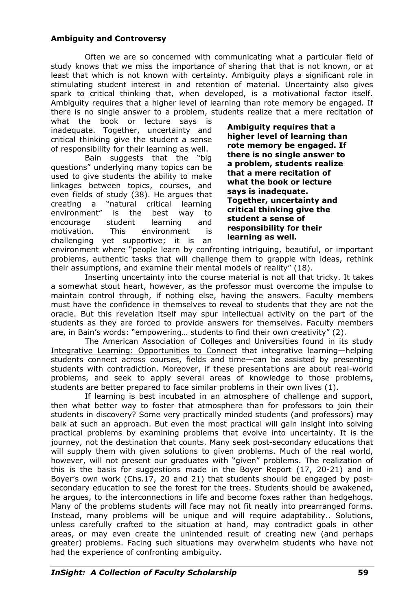### **Ambiguity and Controversy**

Often we are so concerned with communicating what a particular field of study knows that we miss the importance of sharing that that is not known, or at least that which is not known with certainty. Ambiguity plays a significant role in stimulating student interest in and retention of material. Uncertainty also gives spark to critical thinking that, when developed, is a motivational factor itself. Ambiguity requires that a higher level of learning than rote memory be engaged. If there is no single answer to a problem, students realize that a mere recitation of

what the book or lecture says is inadequate. Together, uncertainty and critical thinking give the student a sense of responsibility for their learning as well.

 Bain suggests that the "big questions" underlying many topics can be used to give students the ability to make linkages between topics, courses, and even fields of study (38). He argues that creating a "natural critical learning environment" is the best way to encourage student learning and motivation. This environment is challenging yet supportive; it is an

**Ambiguity requires that a higher level of learning than rote memory be engaged. If there is no single answer to a problem, students realize that a mere recitation of what the book or lecture says is inadequate. Together, uncertainty and critical thinking give the student a sense of responsibility for their learning as well.**

environment where "people learn by confronting intriguing, beautiful, or important problems, authentic tasks that will challenge them to grapple with ideas, rethink their assumptions, and examine their mental models of reality" (18).

 Inserting uncertainty into the course material is not all that tricky. It takes a somewhat stout heart, however, as the professor must overcome the impulse to maintain control through, if nothing else, having the answers. Faculty members must have the confidence in themselves to reveal to students that they are not the oracle. But this revelation itself may spur intellectual activity on the part of the students as they are forced to provide answers for themselves. Faculty members are, in Bain's words: "empowering… students to find their own creativity" (2).

 The American Association of Colleges and Universities found in its study Integrative Learning: Opportunities to Connect that integrative learning—helping students connect across courses, fields and time—can be assisted by presenting students with contradiction. Moreover, if these presentations are about real-world problems, and seek to apply several areas of knowledge to those problems, students are better prepared to face similar problems in their own lives (1).

 If learning is best incubated in an atmosphere of challenge and support, then what better way to foster that atmosphere than for professors to join their students in discovery? Some very practically minded students (and professors) may balk at such an approach. But even the most practical will gain insight into solving practical problems by examining problems that evolve into uncertainty. It is the journey, not the destination that counts. Many seek post-secondary educations that will supply them with given solutions to given problems. Much of the real world, however, will not present our graduates with "given" problems. The realization of this is the basis for suggestions made in the Boyer Report (17, 20-21) and in Boyer's own work (Chs.17, 20 and 21) that students should be engaged by postsecondary education to see the forest for the trees. Students should be awakened, he argues, to the interconnections in life and become foxes rather than hedgehogs. Many of the problems students will face may not fit neatly into prearranged forms. Instead, many problems will be unique and will require adaptability.. Solutions, unless carefully crafted to the situation at hand, may contradict goals in other areas, or may even create the unintended result of creating new (and perhaps greater) problems. Facing such situations may overwhelm students who have not had the experience of confronting ambiguity.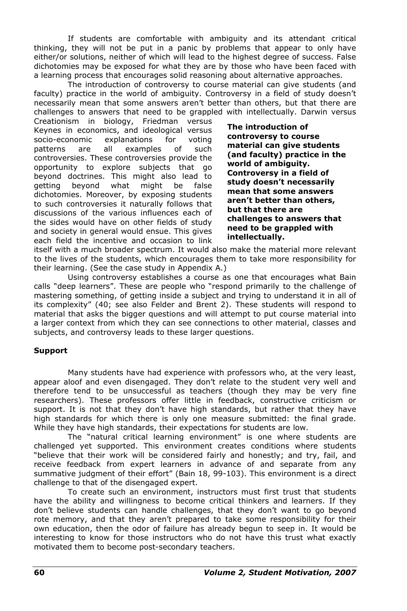If students are comfortable with ambiguity and its attendant critical thinking, they will not be put in a panic by problems that appear to only have either/or solutions, neither of which will lead to the highest degree of success. False dichotomies may be exposed for what they are by those who have been faced with a learning process that encourages solid reasoning about alternative approaches.

 The introduction of controversy to course material can give students (and faculty) practice in the world of ambiguity. Controversy in a field of study doesn't necessarily mean that some answers aren't better than others, but that there are challenges to answers that need to be grappled with intellectually. Darwin versus

Creationism in biology, Friedman versus Keynes in economics, and ideological versus socio-economic explanations for voting patterns are all examples of such controversies. These controversies provide the opportunity to explore subjects that go beyond doctrines. This might also lead to getting beyond what might be false dichotomies. Moreover, by exposing students to such controversies it naturally follows that discussions of the various influences each of the sides would have on other fields of study and society in general would ensue. This gives each field the incentive and occasion to link

**The introduction of controversy to course material can give students (and faculty) practice in the world of ambiguity. Controversy in a field of study doesn't necessarily mean that some answers aren't better than others, but that there are challenges to answers that need to be grappled with intellectually.**

itself with a much broader spectrum. It would also make the material more relevant to the lives of the students, which encourages them to take more responsibility for their learning. (See the case study in Appendix A.)

Using controversy establishes a course as one that encourages what Bain calls "deep learners". These are people who "respond primarily to the challenge of mastering something, of getting inside a subject and trying to understand it in all of its complexity" (40; see also Felder and Brent 2). These students will respond to material that asks the bigger questions and will attempt to put course material into a larger context from which they can see connections to other material, classes and subjects, and controversy leads to these larger questions.

#### **Support**

 Many students have had experience with professors who, at the very least, appear aloof and even disengaged. They don't relate to the student very well and therefore tend to be unsuccessful as teachers (though they may be very fine researchers). These professors offer little in feedback, constructive criticism or support. It is not that they don't have high standards, but rather that they have high standards for which there is only one measure submitted: the final grade. While they have high standards, their expectations for students are low.

 The "natural critical learning environment" is one where students are challenged yet supported. This environment creates conditions where students "believe that their work will be considered fairly and honestly; and try, fail, and receive feedback from expert learners in advance of and separate from any summative judgment of their effort" (Bain 18, 99-103). This environment is a direct challenge to that of the disengaged expert.

 To create such an environment, instructors must first trust that students have the ability and willingness to become critical thinkers and learners. If they don't believe students can handle challenges, that they don't want to go beyond rote memory, and that they aren't prepared to take some responsibility for their own education, then the odor of failure has already begun to seep in. It would be interesting to know for those instructors who do not have this trust what exactly motivated them to become post-secondary teachers.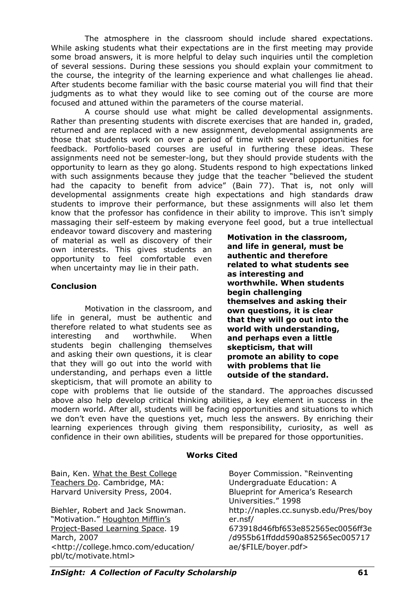The atmosphere in the classroom should include shared expectations. While asking students what their expectations are in the first meeting may provide some broad answers, it is more helpful to delay such inquiries until the completion of several sessions. During these sessions you should explain your commitment to the course, the integrity of the learning experience and what challenges lie ahead. After students become familiar with the basic course material you will find that their judgments as to what they would like to see coming out of the course are more focused and attuned within the parameters of the course material.

 A course should use what might be called developmental assignments. Rather than presenting students with discrete exercises that are handed in, graded, returned and are replaced with a new assignment, developmental assignments are those that students work on over a period of time with several opportunities for feedback. Portfolio-based courses are useful in furthering these ideas. These assignments need not be semester-long, but they should provide students with the opportunity to learn as they go along. Students respond to high expectations linked with such assignments because they judge that the teacher "believed the student had the capacity to benefit from advice" (Bain 77). That is, not only will developmental assignments create high expectations and high standards draw students to improve their performance, but these assignments will also let them know that the professor has confidence in their ability to improve. This isn't simply massaging their self-esteem by making everyone feel good, but a true intellectual

endeavor toward discovery and mastering of material as well as discovery of their own interests. This gives students an opportunity to feel comfortable even when uncertainty may lie in their path.

#### **Conclusion**

 Motivation in the classroom, and life in general, must be authentic and therefore related to what students see as interesting and worthwhile. When students begin challenging themselves and asking their own questions, it is clear that they will go out into the world with understanding, and perhaps even a little skepticism, that will promote an ability to **Motivation in the classroom, and life in general, must be authentic and therefore related to what students see as interesting and worthwhile. When students begin challenging themselves and asking their own questions, it is clear that they will go out into the world with understanding, and perhaps even a little skepticism, that will promote an ability to cope with problems that lie outside of the standard.**

cope with problems that lie outside of the standard. The approaches discussed above also help develop critical thinking abilities, a key element in success in the modern world. After all, students will be facing opportunities and situations to which we don't even have the questions yet, much less the answers. By enriching their learning experiences through giving them responsibility, curiosity, as well as confidence in their own abilities, students will be prepared for those opportunities.

## **Works Cited**

Bain, Ken. What the Best College Teachers Do. Cambridge, MA: Harvard University Press, 2004.

Biehler, Robert and Jack Snowman. "Motivation." Houghton Mifflin's Project-Based Learning Space. 19 March, 2007 <http://college.hmco.com/education/ pbl/tc/motivate.html>

Boyer Commission. "Reinventing Undergraduate Education: A Blueprint for America's Research Universities." 1998 http://naples.cc.sunysb.edu/Pres/boy er.nsf/ 673918d46fbf653e852565ec0056ff3e /d955b61ffddd590a852565ec005717 ae/\$FILE/boyer.pdf>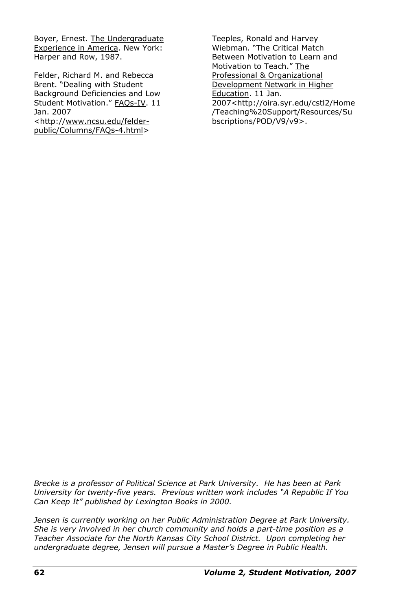Boyer, Ernest. The Undergraduate Experience in America. New York: Harper and Row, 1987.

Felder, Richard M. and Rebecca Brent. "Dealing with Student Background Deficiencies and Low Student Motivation." FAQs-IV. 11 Jan. 2007 <http://www.ncsu.edu/felder-

public/Columns/FAQs-4.html>

Teeples, Ronald and Harvey Wiebman. "The Critical Match Between Motivation to Learn and Motivation to Teach." The Professional & Organizational Development Network in Higher Education. 11 Jan. 2007<http://oira.syr.edu/cstl2/Home /Teaching%20Support/Resources/Su bscriptions/POD/V9/v9>.

*Brecke is a professor of Political Science at Park University. He has been at Park University for twenty-five years. Previous written work includes "A Republic If You Can Keep It" published by Lexington Books in 2000.* 

*Jensen is currently working on her Public Administration Degree at Park University. She is very involved in her church community and holds a part-time position as a Teacher Associate for the North Kansas City School District. Upon completing her undergraduate degree, Jensen will pursue a Master's Degree in Public Health.*